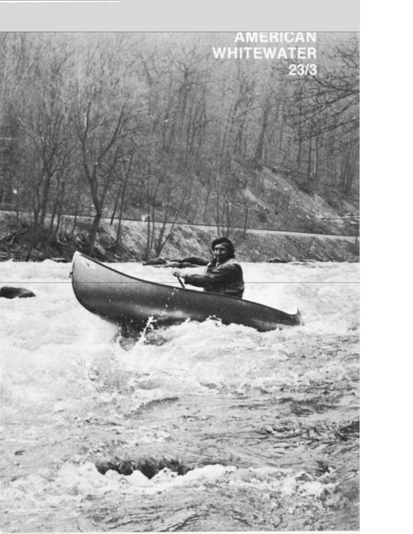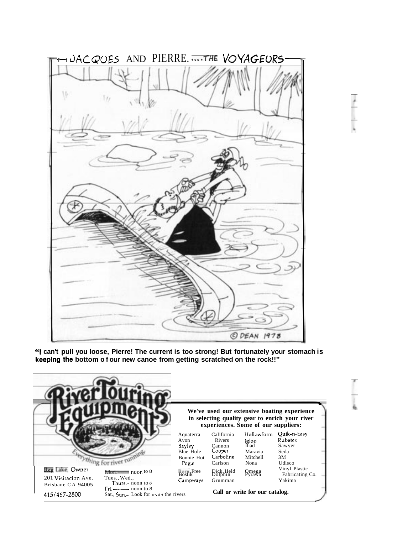

**"I can't pull you loose, Pierre! The current is too strong! But fortunately your stomach is keeping'the bottom of our new canoe from getting scratched on the rock!!"** 

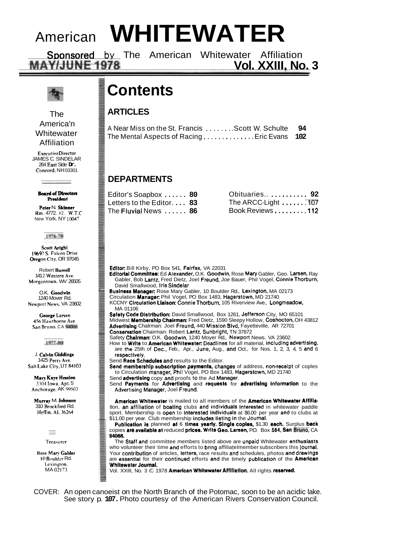## American **WHITEWATER**

Sponsored by The American Whitewater Affiliation<br>MAY/JUNE 1978

The America'n **Whitewater** Affiliation

ExecutiveDirector JAMES C. SINDELAR 264 East Side **Dr.**  Concord. NH 03301

**Board of Directors** President

Peter N. Skinner Rm. 4772. #2. W.T.C New York. NY **10047** 

#### 1976-78

**Scott Arighi** 1%97 S. Falcon Drive Oregon City. OR 97045

Robert Burrell 141 2 Western Ave. Morgantown. WV 26505

O.K. Goodwin 1240 Mover Rd. Newport News. VA 23602

George Larsen 456 Hawthorne Ave. San Bruno. CA **94066** 

1977-80

J. Calvin Giddings 1425 Perry Ave. Salt Lake City, UT 84103

Mary Kaye Hession **3.704** Iowa. Apt. 5 Anchorage. AK 99503

Murray M. Johnson 310 Brockford Rd. Heflin. AL36264

> $\sim$ Treasurer

**Rose Mary Gabler** 10 Boulder Rd. Lexington. MA 02173

### **Contents**

### **ARTICLES**

| A Near Miss on the St. Francis Scott W. Schulte 94 |  |
|----------------------------------------------------|--|
| The Mental Aspects of RacingEric Evans 102         |  |

### **DEPARTMENTS**

| Editor's Soapbox  80               |  |
|------------------------------------|--|
| Letters to the Editor. $\ldots$ 83 |  |
| The Fluvial News  86               |  |

| Obituaries 92       |  |
|---------------------|--|
| The ARCC-Light  107 |  |
| Book Reviews112     |  |

**Vol. XXIII. No. 3** 

Editor: Bill Kirby, PO Box 541, Fairfax, VA 22031

Editorial Committee: Ed Alexander, O.K. Goodwin, Rose Mary Gabler, Geo. Larsen, Ray Gabler, Bob Lantz. Fred Dietz, Joel Freund, Joe Bauer, Phil Vogel, Connie Thorburn, David Smallwood, Iris Sindelar

Buslness Manager: Rose Mary Gabler, 10 Boulder Rd., Lexington, MA 02173 Circulation Manager: Phil Vogel, PO Box 1483, Hagerstown, MD 21740

- KCCNY Circulatlon Llalson: Connie Thorburn, 105 Riverview Ave., Longmeadow, MA 01106
- Safety Code Distribution: David Smallwood, Box 1261, Jefferson City, MO 65101 Midwest Membership Chalrman: Fred Dietz, 1590 Sleepy Hollow, Coshocton, OH 43812 Advertlslng Chalrman: Joel Freund, 440 Mission Blvd, Fayetteville, AR 72701
- Conservation Chairman: Robert Lantz, Sunbright, TN 37872
- Safety Chairman: O.K. Goodwin, 1240 Moyer Rd., Newport News. VA 23602 How to Wrlte to Amerlcan Whltewater: Deadlines for all material, including advertising, are the 25th of Dec., Feb., Apr., June, Aug., and Oct., for Nos. 1, 2, 3, 4, 5 and 6 respectively.
- Send Race Schedules and results to the Editor.

Send membership subscription payments, changes of address, non-receipt of coples to Circulation manager, Phil Vogel, PO Box 1483, Hagerstown, MD 21740

Send **advertising** copy and proofs to the Ad Manager.

Send Payments for Advertising and requests for advertising information to the Advertising Manager, Joel Freund.

American Whitewater is mailed to all members of the American Whitewater Affiliatlon, an affiliation of boating clubs and individuals interested in whitewater paddle sport. Membership is open to interested individuals at \$6.00 per year and to clubs at \$11.00 per year. Club membership includes listing in the Journal.

Publication is planned at 6 times yearly. Single copies, \$1.30 each. Surplus back copies are available at reduced prices. Wrlte Geo. Larsen, P.O. Box **584,** San Bruno, CA 94086.

The Staff and committee members listed above are unpaid Whitewater enthusiasts who volunteer their time and efforts to bring affiliatelmember subscribers this journal. Your contribution of articles, letters, race results and schedules, photos and drawings are essential for their continued efforts and the timely publication of the Amerlcan Whitewater Journal.

Vol. XXIII, No. 3  $\odot$  1978 American Whitewater Affiliation. All rights reserved.

COVER: An open canoeist on the North Branch of the Potomac, soon to be an acidic lake. See story p. **107.** Photo courtesy of the American Rivers Conservation Council.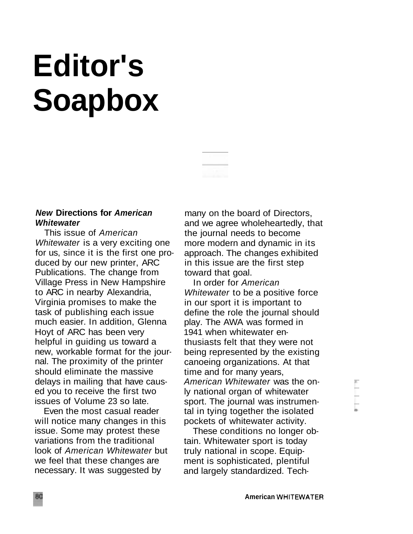# **Editor's Soapbox**



This issue of American Whitewater is a very exciting one for us, since it is the first one produced by our new printer, ARC Publications. The change from Village Press in New Hampshire to ARC in nearby Alexandria, Virginia promises to make the task of publishing each issue much easier. In addition, Glenna Hoyt of ARC has been very helpful in guiding us toward a new, workable format for the journal. The proximity of the printer should eliminate the massive delays in mailing that have caused you to receive the first two issues of Volume 23 so late.

Even the most casual reader will notice many changes in this issue. Some may protest these variations from the traditional look of American Whitewater but we feel that these changes are necessary. It was suggested by

many on the board of Directors, and we agree wholeheartedly, that the journal needs to become more modern and dynamic in its approach. The changes exhibited in this issue are the first step toward that goal.

In order for American Whitewater to be a positive force in our sport it is important to define the role the journal should play. The AWA was formed in 1941 when whitewater enthusiasts felt that they were not being represented by the existing canoeing organizations. At that time and for many years, American Whitewater was the only national organ of whitewater sport. The journal was instrumental in tying together the isolated pockets of whitewater activity.

These conditions no longer obtain. Whitewater sport is today truly national in scope. Equipment is sophisticated, plentiful and largely standardized. Tech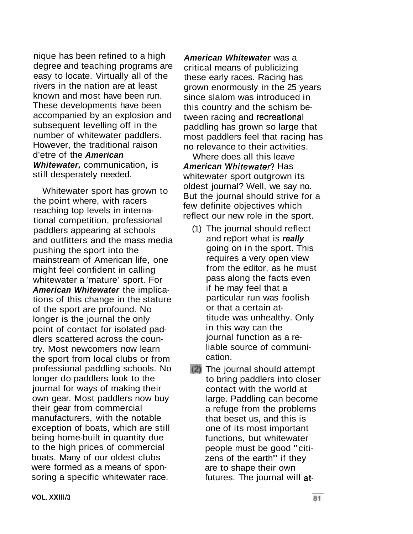nique has been refined to a high degree and teaching programs are easy to locate. Virtually all of the rivers in the nation are at least known and most have been run. These developments have been accompanied by an explosion and subsequent levelling off in the number of whitewater paddlers. However, the traditional raison d'etre of the **American Whitewater,** communication, is still desperately needed.

Whitewater sport has grown to the point where, with racers reaching top levels in international competition, professional paddlers appearing at schools and outfitters and the mass media pushing the sport into the mainstream of American life, one might feel confident in calling whitewater a 'mature' sport. For **American Whitewater** the implications of this change in the stature of the sport are profound. No longer is the journal the only point of contact for isolated paddlers scattered across the country. Most newcomers now learn the sport from local clubs or from professional paddling schools. No longer do paddlers look to the journal for ways of making their own gear. Most paddlers now buy their gear from commercial manufacturers, with the notable exception of boats, which are still being home-built in quantity due to the high prices of commercial boats. Many of our oldest clubs were formed as a means of sponsoring a specific whitewater race.

**American Whitewater** was a critical means of publicizing these early races. Racing has grown enormously in the 25 years since slalom was introduced in this country and the schism between racing and recreational paddling has grown so large that most paddlers feel that racing has no relevance to their activities.

Where does all this leave **American Whitewater?** Has whitewater sport outgrown its oldest journal? Well, we say no. But the journal should strive for a few definite objectives which reflect our new role in the sport.

- (1) The journal should reflect and report what is **really**  going on in the sport. This requires a very open view from the editor, as he must pass along the facts even if he may feel that a particular run was foolish or that a certain attitude was unhealthy. Only in this way can the journal function as a reliable source of communication.
- The journal should attempt to bring paddlers into closer contact with the world at large. Paddling can become a refuge from the problems that beset us, and this is one of its most important functions, but whitewater people must be good "citizens of the earth" if they are to shape their own futures. The journal will at-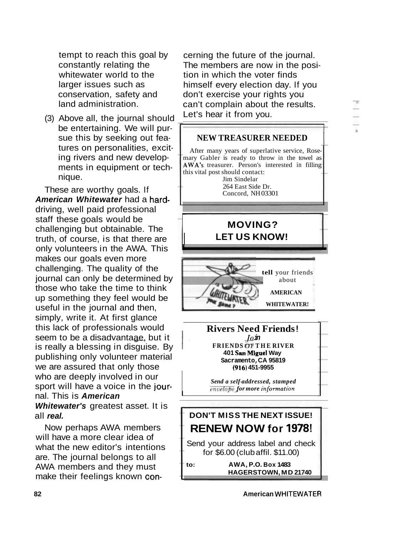

cerning the future of the journal. The members are now in the posi-

himself every election day. If you don't exercise your rights you can't complain about the results.

tion in which the voter finds

Let's hear it from you.

tempt to reach this goal by constantly relating the whitewater world to the larger issues such as conservation, safety and land administration.

(3) Above all, the journal should be entertaining. We will pursue this by seeking out features on personalities, exciting rivers and new developments in equipment or technique.

These are worthy goals. If **American Whitewater** had a harddriving, well paid professional staff these goals would be challenging but obtainable. The truth, of course, is that there are only volunteers in the AWA. This makes our goals even more  $\frac{1}{2}$  journal can only be determined by  $\frac{1}{2}$  about those who take the time to think  $A_{\text{M}}$ up something they feel would be useful in the journal and then, **WHITEWATER!** simply, write it. At first glance this lack of professionals would **Rivers Need**<br>seem to be a disadvantaae, but it  $\frac{J_0 m}{J_0}$ is really a blessing in disguise. By publishing only volunteer material we are assured that only those nal. This is **American**  who are deeply involved in our sport will have a voice in the jour-**Whitewater's** greatest asset. It is all **real.** 

Now perhaps AWA members will have a more clear idea of what the new editor's intentions are. The journal belongs to all AWA members and they must make their feelings known con-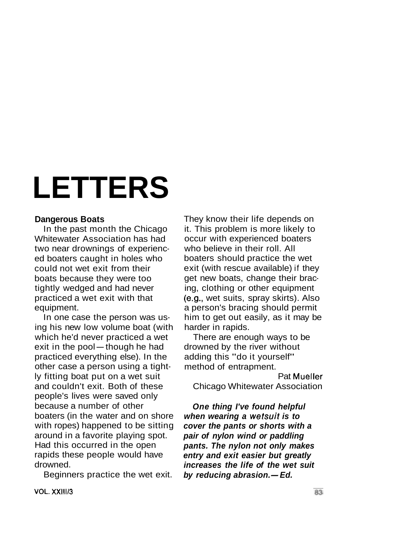# **LETTERS**

#### **Dangerous Boats**

In the past month the Chicago Whitewater Association has had two near drownings of experienced boaters caught in holes who could not wet exit from their boats because they were too tightly wedged and had never practiced a wet exit with that equipment.

In one case the person was using his new low volume boat (with which he'd never practiced a wet ing his new low volume boat (with<br>which he'd never practiced a we<br>exit in the pool—though he had practiced everything else). In the other case a person using a tightly fitting boat put on a wet suit and couldn't exit. Both of these people's lives were saved only because a number of other boaters (in the water and on shore with ropes) happened to be sitting around in a favorite playing spot. Had this occurred in the open rapids these people would have drowned.

Beginners practice the wet exit.

They know their life depends on it. This problem is more likely to occur with experienced boaters who believe in their roll. All boaters should practice the wet exit (with rescue available) if they get new boats, change their bracing, clothing or other equipment (e.g., wet suits, spray skirts). Also a person's bracing should permit him to get out easily, as it may be harder in rapids.

There are enough ways to be drowned by the river without adding this "do it yourself" method of entrapment.

Pat Mueller Chicago Whitewater Association

**One thing I've found helpful when wearing a wetsuit is to cover the pants or shorts with a pair of nylon wind or paddling pants. The nylon not only makes entry and exit easier but greatly increases the life of the wet suit**  entry and exit easier but gre<br>increases the life of the we<br>by reducing abrasion.—Ed.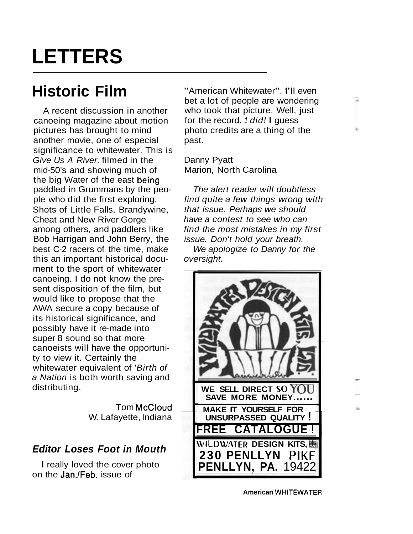### **LETTERS**

### **Historic Film**

A recent discussion in another canoeing magazine about motion pictures has brought to mind another movie, one of especial significance to whitewater. This is Give Us A River, filmed in the mid-50's and showing much of the big Water of the east being paddled in Grummans by the people who did the first exploring. Shots of Little Falls, Brandywine, Cheat and New River Gorge among others, and paddlers like Bob Harrigan and John Berry, the best C-2 racers of the time, make this an important historical document to the sport of whitewater canoeing. I do not know the present disposition of the film, but would like to propose that the AWA secure a copy because of its historical significance, and possibly have it re-made into super 8 sound so that more canoeists will have the opportunity to view it. Certainly the whitewater equivalent of 'Birth of a Nation is both worth saving and distributing.

> Tom McCloud W. Lafayette, Indiana

### **Editor Loses Foot in Mouth**

I really loved the cover photo on the Jan./Feb. issue of

"American Whitewater". I'll even bet a lot of people are wondering who took that picture. Well, just for the record, 1 did! I guess photo credits are a thing of the past.

Danny Pyatt Marion, North Carolina

The alert reader will doubtless find quite a few things wrong with that issue. Perhaps we should have a contest to see who can find the most mistakes in my first issue. Don't hold your breath.

We apologize to Danny for the oversight.



**American WHITEWATER**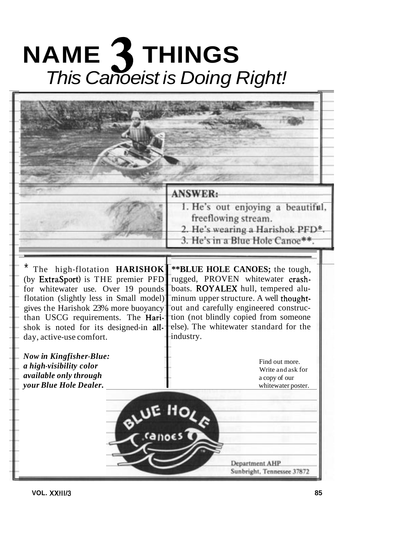# **NAME 3 THINGS**  This Canoeist is Doing Right!

|                                                                                                                                                                                                                                                                                                                                                                                                                         | <b>ANSWER:</b><br>1. He's out enjoying a beautiful,<br>freeflowing stream.                                                                                                                                                                                                                                                                                                  |
|-------------------------------------------------------------------------------------------------------------------------------------------------------------------------------------------------------------------------------------------------------------------------------------------------------------------------------------------------------------------------------------------------------------------------|-----------------------------------------------------------------------------------------------------------------------------------------------------------------------------------------------------------------------------------------------------------------------------------------------------------------------------------------------------------------------------|
|                                                                                                                                                                                                                                                                                                                                                                                                                         | 2. He's wearing a Harishok PFD*<br>3. He's in a Blue Hole Canoe**.                                                                                                                                                                                                                                                                                                          |
| The high-flotation HARISHOK<br>(by ExtraSport) is THE premier PFD<br>for whitewater use. Over 19 pounds<br>flotation (slightly less in Small model)<br>gives the Harishok 23% more buoyancy<br>than USCG requirements. The Hari-<br>shok is noted for its designed-in all-<br>day, active-use comfort.<br><b>Now in Kingfisher-Blue:</b><br>a high-visibility color<br>available only through<br>your Blue Hole Dealer. | ** BLUE HOLE CANOES; the tough,<br>rugged, PROVEN whitewater crash-<br>boats. ROYALEX hull, tempered alu-<br>minum upper structure. A well thought-<br>out and carefully engineered construc-<br>tion (not blindly copied from someone<br>else). The whitewater standard for the<br>industry.<br>Find out more.<br>Write and ask for<br>a copy of our<br>whitewater poster. |
|                                                                                                                                                                                                                                                                                                                                                                                                                         | BLUE HOLA<br>Department AHP<br>Sunbright, Tennessee 37872                                                                                                                                                                                                                                                                                                                   |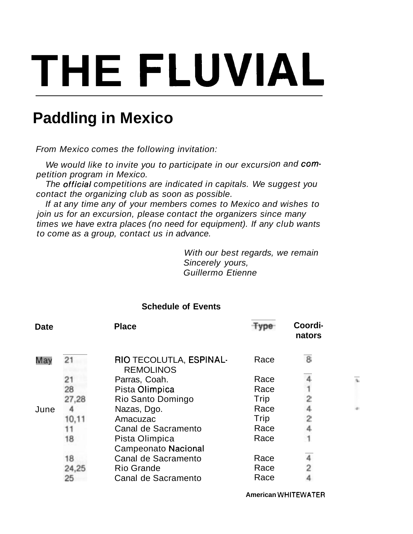# **THE FLUVIAL**

### **Paddling in Mexico**

From Mexico comes the following invitation:

We would like to invite you to participate in our excursion and competition program in Mexico.

The official competitions are indicated in capitals. We suggest you contact the organizing club as soon as possible.

If at any time any of your members comes to Mexico and wishes to join us for an excursion, please contact the organizers since many times we have extra places (no need for equipment). If any club wants to come as a group, contact us in advance.

> With our best regards, we remain Sincerely yours, Guillermo Etienne

| <b>Date</b> |       | <b>Place</b>                                 |      | Coordi-<br>nators |
|-------------|-------|----------------------------------------------|------|-------------------|
|             | 21    | RIO TECOLUTLA, ESPINAL-<br><b>REMOLINOS</b>  | Race | 8                 |
|             | 21    | Parras, Coah.                                | Race |                   |
|             | 28    | Pista Olimpica                               | Race |                   |
|             | 27,28 | Rio Santo Domingo                            | Trip |                   |
| June        |       | Nazas, Dgo.                                  | Race |                   |
|             | 10.11 | Amacuzac                                     | Trip |                   |
|             |       | Canal de Sacramento                          | Race |                   |
|             | 18    | Pista Olimpica<br><b>Campeonato Nacional</b> | Race |                   |
|             | 18    | Canal de Sacramento                          | Race |                   |
|             | 24,25 | <b>Rio Grande</b>                            | Race | 2                 |
|             | 25    | Canal de Sacramento                          | Race |                   |

### **Schedule of Events**

**American WHITEWATER**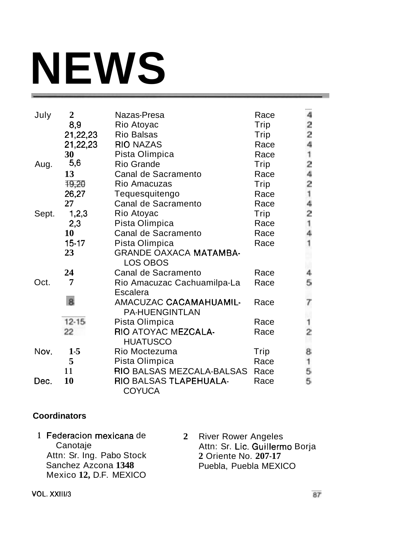# **NEWS**

| July  | $\overline{2}$ | Nazas-Presa                                            | Race | 4              |
|-------|----------------|--------------------------------------------------------|------|----------------|
|       | 8,9            | Rio Atoyac                                             | Trip |                |
|       | 21,22,23       | <b>Rio Balsas</b>                                      | Trip | $\frac{2}{2}$  |
|       | 21,22,23       | <b>RIO NAZAS</b>                                       | Race | 4              |
|       | 30             | Pista Olimpica                                         | Race | $\overline{1}$ |
| Aug.  | 5,6            | <b>Rio Grande</b>                                      | Trip |                |
|       | 13             | Canal de Sacramento                                    | Race | $\frac{2}{4}$  |
|       | 19,20          | Rio Amacuzas                                           | Trip |                |
|       | 26,27          | Tequesquitengo                                         | Race | $\frac{2}{1}$  |
|       | 27             | Canal de Sacramento                                    | Race |                |
| Sept. | 1,2,3          | Rio Atoyac                                             | Trip | $\frac{4}{2}$  |
|       | 2,3            | Pista Olimpica                                         | Race | 1              |
|       | 10             | Canal de Sacramento                                    | Race | 4              |
|       | $15-17$        | Pista Olimpica                                         | Race | 1              |
|       | 23             | <b>GRANDE OAXACA MATAMBA-</b><br>LOS OBOS              |      |                |
|       | 24             | Canal de Sacramento                                    | Race |                |
| Oct.  | 7              | Rio Amacuzac Cachuamilpa-La                            | Race | 5              |
|       |                | Escalera                                               |      |                |
|       | 8              | <b>AMACUZAC CACAMAHUAMIL-</b><br><b>PA-HUENGINTLAN</b> | Race | 7              |
|       | $12 - 15$      | Pista Olimpica                                         | Race | 1              |
|       | 22             | RIO ATOYAC MEZCALA-<br><b>HUATUSCO</b>                 | Race | $\frac{1}{2}$  |
| Nov.  | $1-5$          | Rio Moctezuma                                          | Trip | 8              |
|       | 5              | Pista Olimpica                                         | Race | $\mathbf{1}$   |
|       | 11             | RIO BALSAS MEZCALA-BALSAS                              | Race | 5              |
| Dec.  | 10             | RIO BALSAS TLAPEHUALA-                                 | Race | 5              |
|       |                | <b>COYUCA</b>                                          |      |                |

### **Coordinators**

**1** Federacion mexicana de Canotaje Attn: Sr. Ing. Pabo Stock Sanchez Azcona **1348**  Mexico **12,** D.F. MEXICO

**2** River Rower Angeles Attn: Sr. Lic. Guillermo Borja **2** Oriente No. **207-17**  Puebla, Puebla MEXICO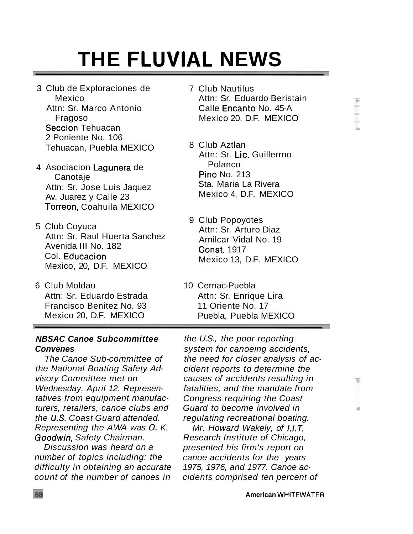$\mathbb{R}$ 

## **THE FLUVIAL NEWS**

- 3 Club de Exploraciones de Mexico Attn: Sr. Marco Antonio Fragoso Seccion Tehuacan 2 Poniente No. 106 Tehuacan, Puebla MEXICO
- 4 Asociacion Lagunera de Canotaje Attn: Sr. Jose Luis Jaquez Av. Juarez y Calle 23 Torreon, Coahuila MEXICO
- 5 Club Coyuca Attn: Sr. Raul Huerta Sanchez Avenida Ill No. 182 Col. Educacion Mexico, 20, D.F. MEXICO
- 6 Club Moldau 10 Cernac-Puebla Attn: Sr. Eduardo Estrada Attn: Sr. Enrique Lira Francisco Benitez No. 93 11 Oriente No. 17
- **NBSAC Canoe Subcommittee Convenes**

The Canoe Sub-committee of the National Boating Safety Advisory Committee met on Wednesday, April 12. Representatives from equipment manufacturers, retailers, canoe clubs and the U.S. Coast Guard attended. Representing the AWA was O.K. Goodwin, Safety Chairman.

Discussion was heard on a number of topics including: the difficulty in obtaining an accurate count of the number of canoes in

- 7 Club Nautilus Attn: Sr. Eduardo Beristain Calle Encanto No. 45-A Mexico 20, D.F. MEXICO
- 8 Club Aztlan Attn: Sr. Lic. Guillerrno Polanco Pino No. 213 Sta. Maria La Rivera Mexico 4, D.F. MEXICO
- 9 Club Popoyotes Attn: Sr. Arturo Diaz Arnilcar Vidal No. 19 Const. 1917 Mexico 13, D.F. MEXICO
- Mexico 20, D.F. MEXICO Puebla, Puebla MEXICO

the U.S., the poor reporting system for canoeing accidents, the need for closer analysis of accident reports to determine the causes of accidents resulting in fatalities, and the mandate from Congress requiring the Coast Guard to become involved in regulating recreational boating.

Mr. Howard Wakely, of I.I.T. Research Institute of Chicago, presented his firm's report on canoe accidents for the years 1975, 1976, and 1977. Canoe accidents comprised ten percent of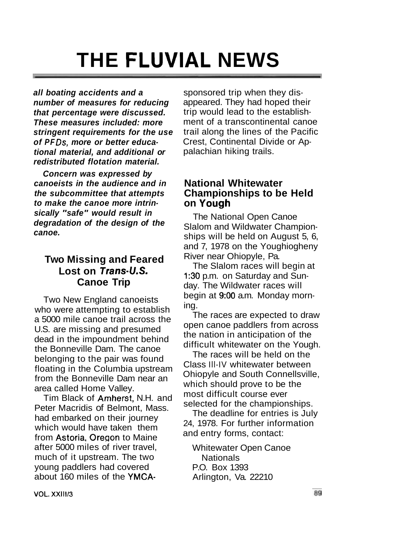## **THE FLUVIAL NEWS**

**all boating accidents and a number of measures for reducing that percentage were discussed. These measures included: more stringent requirements for the use**  of PFDs, more or better educa**tional material, and additional or redistributed flotation material.** 

**Concern was expressed by canoeists in the audience and in the subcommittee that attempts to make the canoe more intrinsically "safe" would result in degradation of the design of the canoe.** 

### **Two Missing and Feared**  Lost on Trans-U.S. **Canoe Trip**

Two New England canoeists who were attempting to establish a 5000 mile canoe trail across the U.S. are missing and presumed dead in the impoundment behind the Bonneville Dam. The canoe belonging to the pair was found floating in the Columbia upstream from the Bonneville Dam near an area called Home Valley.

Tim Black of Amherst, N.H. and Peter Macridis of Belmont, Mass. had embarked on their journey which would have taken them from Astoria, Oregon to Maine after 5000 miles of river travel, Whitewater Open Canoe much of it upstream. The two Nationals young paddlers had covered P.O. Box 1393 about 160 miles of the YMCA-<br>Arlington, Va. 22210

sponsored trip when they disappeared. They had hoped their trip would lead to the establishment of a transcontinental canoe trail along the lines of the Pacific Crest, Continental Divide or Appalachian hiking trails.

### **National Whitewater Championships to be Held on Yough**

The National Open Canoe Slalom and Wildwater Championships will be held on August 5, 6, and 7, 1978 on the Youghiogheny River near Ohiopyle, Pa.

The Slalom races will begin at 1:30 p.m. on Saturday and Sunday. The Wildwater races will begin at 9:00 a.m. Monday morning.

The races are expected to draw open canoe paddlers from across the nation in anticipation of the difficult whitewater on the Yough.

The races will be held on the Class Ill-IV whitewater between Ohiopyle and South Connellsville, which should prove to be the most difficult course ever selected for the championships.

The deadline for entries is July 24, 1978. For further information and entry forms, contact: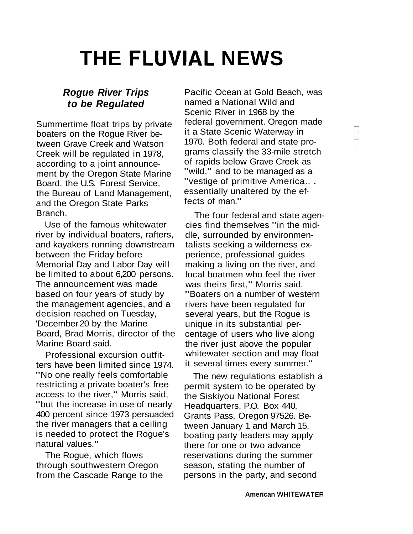## **THE FLUVIAL NEWS**

### **Rogue River Trips to be Regulated**

Summertime float trips by private boaters on the Rogue River between Grave Creek and Watson Creek will be regulated in 1978, according to a joint announcement by the Oregon State Marine Board, the U.S. Forest Service, the Bureau of Land Management, and the Oregon State Parks Branch.

Use of the famous whitewater river by individual boaters, rafters, and kayakers running downstream between the Friday before Memorial Day and Labor Day will be limited to about 6,200 persons. The announcement was made based on four years of study by the management agencies, and a decision reached on Tuesday, 'December 20 by the Marine Board, Brad Morris, director of the Marine Board said.

Professional excursion outfitters have been limited since 1974. "No one really feels comfortable restricting a private boater's free access to the river," Morris said, "but the increase in use of nearly 400 percent since 1973 persuaded the river managers that a ceiling is needed to protect the Rogue's natural values."

The Rogue, which flows through southwestern Oregon from the Cascade Range to the Pacific Ocean at Gold Beach, was named a National Wild and Scenic River in 1968 by the federal government. Oregon made it a State Scenic Waterway in 1970. Both federal and state programs classify the 33-mile stretch of rapids below Grave Creek as "wild," and to be managed as a "vestige of primitive America.. .<br>essentially unaltered by the effects of man."

d,

The four federal and state agencies find themselves "in the middle, surrounded by environmentalists seeking a wilderness experience, professional guides making a living on the river, and local boatmen who feel the river was theirs first," Morris said. "Boaters on a number of western rivers have been regulated for several years, but the Rogue is unique in its substantial percentage of users who live along the river just above the popular whitewater section and may float it several times every summer."

The new regulations establish a permit system to be operated by the Siskiyou National Forest Headquarters, P.O. Box 440, Grants Pass, Oregon 97526. Between January 1 and March 15, boating party leaders may apply there for one or two advance reservations during the summer season, stating the number of persons in the party, and second

**American WHITEWATER**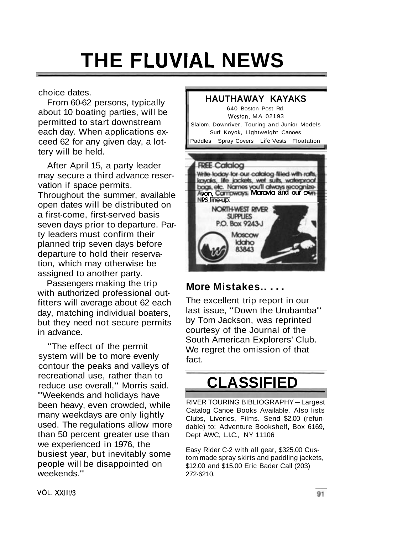## **THE FLUVIAL NEWS**

choice dates.

From 60-62 persons, typically about 10 boating parties, will be permitted to start downstream each day. When applications exceed 62 for any given day, a lottery will be held.

After April 15, a party leader may secure a third advance reservation if space permits. Throughout the summer, available open dates will be distributed on a first-come, first-served basis seven days prior to departure. Party leaders must confirm their planned trip seven days before departure to hold their reservation, which may otherwise be assigned to another party.

Passengers making the trip with authorized professional outfitters will average about 62 each day, matching individual boaters, but they need not secure permits in advance.

"The effect of the permit system will be to more evenly contour the peaks and valleys of recreational use, rather than to reduce use overall," Morris said. "Weekends and holidays have been heavy, even crowded, while many weekdays are only lightly used. The regulations allow more than 50 percent greater use than we experienced in 1976, the busiest year, but inevitably some people will be disappointed on weekends."



### **More Mistakes.. . . . The excellent trip report in our**

last issue, "Down the Urubamba" by Tom Jackson, was reprinted courtesy of the Journal of the South American Explorers' Club. We regret the omission of that fact.

### **CLASSIFIED**

RIVER TOURING BIBLIOGRAPHY-Largest Catalog Canoe Books Available. Also lists Clubs, Liveries, Films. Send \$2.00 (refundable) to: Adventure Bookshelf, Box 6169, Dept AWC, L.I.C., NY 11106

Easy Rider C-2 with all gear, \$325.00 Custom made spray skirts and paddling jackets, \$12.00 and \$15.00 Eric Bader Call (203) 272-6210.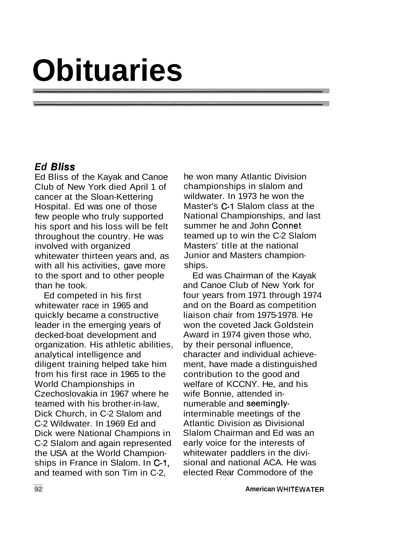# **Obituaries**

### **Ed Bliss**

Ed Bliss of the Kayak and Canoe Club of New York died April 1 of cancer at the Sloan-Kettering Hospital. Ed was one of those few people who truly supported his sport and his loss will be felt throughout the country. He was involved with organized whitewater thirteen years and, as with all his activities, gave more to the sport and to other people than he took.

Ed competed in his first whitewater race in 1965 and quickly became a constructive leader in the emerging years of decked-boat development and organization. His athletic abilities, analytical intelligence and diligent training helped take him from his first race in 1965 to the World Championships in Czechoslovakia in 1967 where he teamed with his brother-in-law, Dick Church, in C-2 Slalom and C-2 Wildwater. In 1969 Ed and Dick were National Champions in C-2 Slalom and again represented the USA at the World Championships in France in Slalom. In C-1, and teamed with son Tim in C-2,

he won many Atlantic Division championships in slalom and wildwater. In 1973 he won the Master's C-1 Slalom class at the National Championships, and last summer he and John Connet teamed up to win the C-2 Slalom Masters' title at the national Junior and Masters championships.

Ed was Chairman of the Kayak and Canoe Club of New York for four years from 1971 through 1974 and on the Board as competition liaison chair from 1975-1978. He won the coveted Jack Goldstein Award in 1974 given those who, by their personal influence, character and individual achievement, have made a distinguished contribution to the good and welfare of KCCNY. He, and his wife Bonnie, attended innumerable and seeminglyinterminable meetings of the Atlantic Division as Divisional Slalom Chairman and Ed was an early voice for the interests of whitewater paddlers in the divisional and national ACA. He was elected Rear Commodore of the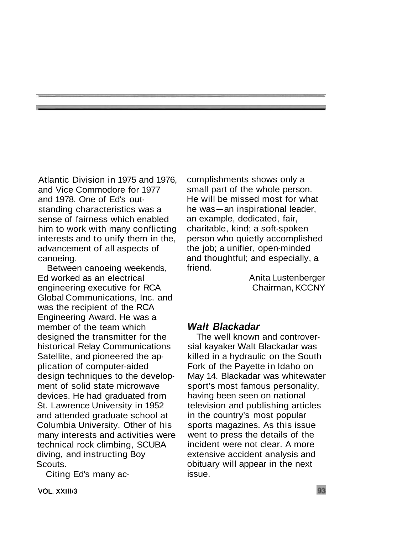Atlantic Division in 1975 and 1976, and Vice Commodore for 1977 and 1978. One of Ed's outstanding characteristics was a sense of fairness which enabled him to work with many conflicting interests and to unify them in the, advancement of all aspects of canoeing.

Between canoeing weekends, Ed worked as an electrical engineering executive for RCA Global Communications, Inc. and was the recipient of the RCA Engineering Award. He was a member of the team which designed the transmitter for the historical Relay Communications Satellite, and pioneered the application of computer-aided design techniques to the development of solid state microwave devices. He had graduated from St. Lawrence University in 1952 and attended graduate school at Columbia University. Other of his many interests and activities were technical rock climbing, SCUBA diving, and instructing Boy Scouts.

Citing Ed's many ac-

complishments shows only a small part of the whole person. He will be missed most for what small part of the whole person.<br>He will be missed most for what<br>he was—an inspirational leader, an example, dedicated, fair, charitable, kind; a soft-spoken person who quietly accomplished the job; a unifier, open-minded and thoughtful; and especially, a friend.

> Anita Lustenberger Chairman, KCCNY

### **Walt Blackadar**

The well known and controversial kayaker Walt Blackadar was killed in a hydraulic on the South Fork of the Payette in Idaho on May 14. Blackadar was whitewater sport's most famous personality, having been seen on national television and publishing articles in the country's most popular sports magazines. As this issue went to press the details of the incident were not clear. A more extensive accident analysis and obituary will appear in the next issue.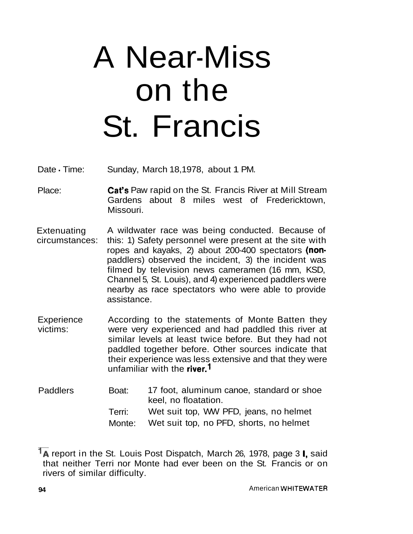# A Near-Miss on the St. Francis

Date - Time: Sunday, March 18,1978, about 1 PM.

- Place: Cat's Paw rapid on the St. Francis River at Mill Stream Gardens about 8 miles west of Fredericktown, Missouri.
- **Extenuating** circumstances: A wildwater race was being conducted. Because of this: 1) Safety personnel were present at the site with ropes and kayaks, 2) about 200-400 spectators (nonpaddlers) observed the incident, 3) the incident was filmed by television news cameramen (16 mm, KSD, Channel 5, St. Louis), and 4) experienced paddlers were nearby as race spectators who were able to provide assistance.
- **Experience** victims: According to the statements of Monte Batten they were very experienced and had paddled this river at similar levels at least twice before. But they had not paddled together before. Other sources indicate that their experience was less extensive and that they were unfamiliar with the river.<sup>1</sup>
- Paddlers Boat: 17 foot, aluminum canoe, standard or shoe keel, no floatation. Terri: Wet suit top, WW PFD, jeans, no helmet Monte: Wet suit top, no PFD, shorts, no helmet

<sup>&</sup>lt;sup>1</sup>A report in the St. Louis Post Dispatch, March 26, 1978, page 3 **I**, said that neither Terri nor Monte had ever been on the St. Francis or on rivers of similar difficulty.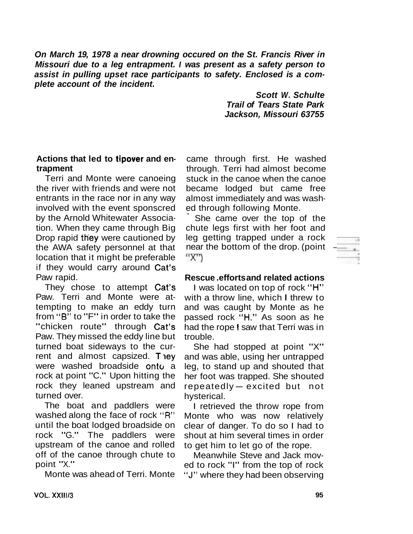**On March 19, 1978 a near drowning occured on the St. Francis River in Missouri due to a leg entrapment. I was present as a safety person to assist in pulling upset race participants to safety. Enclosed is a complete account of the incident.** 

> **Scott W. Schulte Trail of Tears State Park Jackson, Missouri 63755**

### **Actions that led to tipover and entrapment**

Terri and Monte were canoeing the river with friends and were not entrants in the race nor in any way involved with the event sponscred by the Arnold Whitewater Association. When they came through Big Drop rapid they were cautioned by the AWA safety personnel at that location that it might be preferable if they would carry around Cat's Paw rapid.

They chose to attempt Cat's Paw. Terri and Monte were attempting to make an eddy turn from **''6"** to "F" in order to take the "chicken route" through Cat's Paw. They missed the eddy line but turned boat sideways to the current and almost capsized. They were washed broadside onto a rock at point "C." Upon hitting the rock they leaned upstream and turned over.

The boat and paddlers were washed along the face of rock **"R"**  until the boat lodged broadside on rock "G." The paddlers were upstream of the canoe and rolled off of the canoe through chute to point "X."

Monte was ahead of Terri. Monte

came through first. He washed through. Terri had almost become stuck in the canoe when the canoe became lodged but came free almost immediately and was washed through following Monte.

She came over the top of the chute legs first with her foot and leg getting trapped under a rock near the bottom of the drop. (point "X")

#### **Rescue .efforts and related actions**

I was located on top of rock "H" with a throw line, which I threw to and was caught by Monte as he passed rock "H." As soon as he had the rope I saw that Terri was in trouble.

She had stopped at point "X" and was able, using her untrapped leg, to stand up and shouted that her foot was trapped. She shouted reg, to start up and shouted that<br>her foot was trapped. She shouted<br>repeatedly — excited but not hysterical.

I retrieved the throw rope from Monte who was now relatively clear of danger. To do so I had to shout at him several times in order to get him to let go of the rope.

Meanwhile Steve and Jack moved to rock "I" from the top of rock **"J"** where they had been observing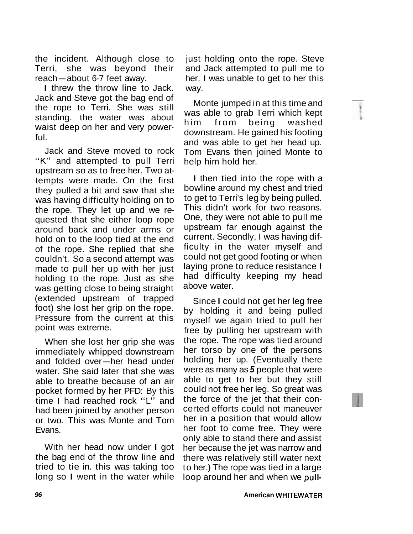the incident. Although close to Terri, she was beyond their re incluent. Although clu<br>Terri, she was beyond<br>reach—about 6-7 feet away. reach—about 6-7 feet away.<br>I threw the throw line to Jack.

Jack and Steve got the bag end of the rope to Terri. She was still standing. the water was about waist deep on her and very powerful.

Jack and Steve moved to rock "K" and attempted to pull Terri upstream so as to free her. Two attempts were made. On the first they pulled a bit and saw that she was having difficulty holding on to the rope. They let up and we requested that she either loop rope around back and under arms or hold on to the loop tied at the end of the rope. She replied that she couldn't. So a second attempt was made to pull her up with her just holding to the rope. Just as she was getting close to being straight (extended upstream of trapped foot) she lost her grip on the rope. Pressure from the current at this point was extreme.

When she lost her grip she was immediately whipped downstream when she lost her grip she was<br>immediately whipped downstream<br>and folded over-her head under water. She said later that she was able to breathe because of an air pocket formed by her PFD: By this time I had reached rock **"L"** and had been joined by another person or two. This was Monte and Tom Evans.

With her head now under I got the bag end of the throw line and tried to tie in. this was taking too long so I went in the water while

just holding onto the rope. Steve and Jack attempted to pull me to her. I was unable to get to her this way.

Monte jumped in at this time and was able to grab Terri which kept him from being washed downstream. He gained his footing and was able to get her head up. Tom Evans then joined Monte to help him hold her.

I then tied into the rope with a bowline around my chest and tried to get to Terri's leg by being pulled. This didn't work for two reasons. One, they were not able to pull me upstream far enough against the current. Secondly, I was having difficulty in the water myself and could not get good footing or when laying prone to reduce resistance I had difficulty keeping my head above water.

Since I could not get her leg free by holding it and being pulled myself we again tried to pull her free by pulling her upstream with the rope. The rope was tied around her torso by one of the persons holding her up. (Eventually there were as many as **5** people that were able to get to her but they still could not free her leg. So great was the force of the jet that their concerted efforts could not maneuver her in a position that would allow her foot to come free. They were only able to stand there and assist her because the jet was narrow and there was relatively still water next to her.) The rope was tied in a large loop around her and when we pull-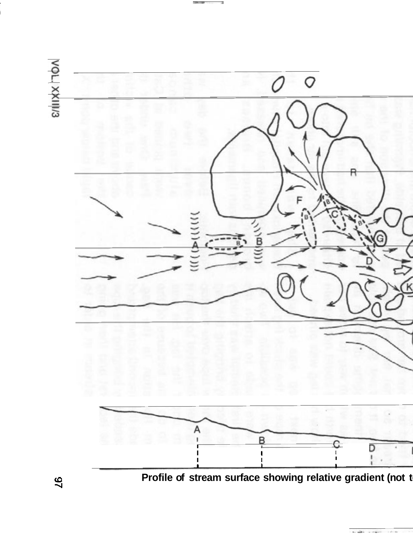

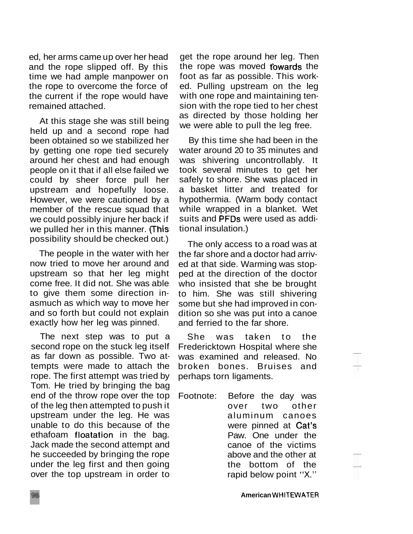ed, her arms came up over her head and the rope slipped off. By this time we had ample manpower on the rope to overcome the force of the current if the rope would have remained attached.

At this stage she was still being held up and a second rope had been obtained so we stabilized her by getting one rope tied securely around her chest and had enough people on it that if all else failed we could by sheer force pull her upstream and hopefully loose. However, we were cautioned by a member of the rescue squad that we could possibly injure her back if we pulled her in this manner. (This possibility should be checked out.)

The people in the water with her now tried to move her around and upstream so that her leg might come free. It did not. She was able to give them some direction inasmuch as which way to move her and so forth but could not explain exactly how her leg was pinned.

The next step was to put a second rope on the stuck leg itself as far down as possible. Two attempts were made to attach the rope. The first attempt was tried by Tom. He tried by bringing the bag end of the throw rope over the top of the leg then attempted to push it upstream under the leg. He was unable to do this because of the ethafoam floatation in the bag. Jack made the second attempt and he succeeded by bringing the rope under the leg first and then going over the top upstream in order to

get the rope around her leg. Then the rope was moved towards the foot as far as possible. This worked. Pulling upstream on the leg with one rope and maintaining tension with the rope tied to her chest as directed by those holding her we were able to pull the leg free.

By this time she had been in the water around 20 to 35 minutes and was shivering uncontrollably. It took several minutes to get her safely to shore. She was placed in a basket litter and treated for hypothermia. (Warm body contact while wrapped in a blanket. Wet suits and PFDs were used as additional insulation.)

The only access to a road was at the far shore and a doctor had arrived at that side. Warming was stopped at the direction of the doctor who insisted that she be brought to him. She was still shivering some but she had improved in condition so she was put into a canoe and ferried to the far shore.

She was taken to the Fredericktown Hospital where she was examined and released. No broken bones. Bruises and perhaps torn ligaments.

Footnote: Before the day was over two other aluminum canoes were pinned at Cat's Paw. One under the canoe of the victims above and the other at the bottom of the rapid below point **"X."**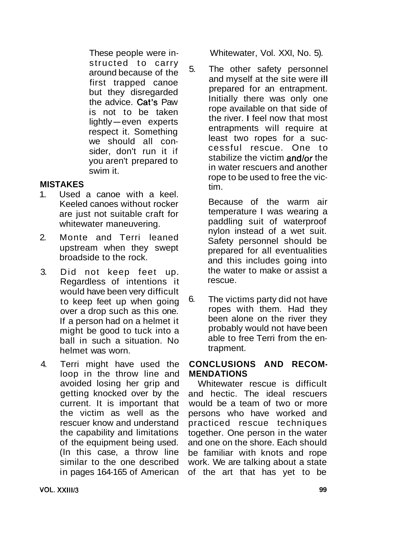These people were instructed to carry around because of the first trapped canoe but they disregarded the advice. Cat's Paw is not to be taken the advice. Cat's Paw<br>is not to be taken<br>lightly-even experts respect it. Something we should all consider, don't run it if you aren't prepared to swim it.

### **MISTAKES**

- 1. Used a canoe with a keel. Keeled canoes without rocker are just not suitable craft for whitewater maneuvering.
- 2. Monte and Terri leaned upstream when they swept broadside to the rock.
- 3. Did not keep feet up. Regardless of intentions it would have been very difficult to keep feet up when going over a drop such as this one. If a person had on a helmet it might be good to tuck into a ball in such a situation. No helmet was worn.
- 4. Terri might have used the loop in the throw line and avoided losing her grip and getting knocked over by the current. It is important that the victim as well as the rescuer know and understand the capability and limitations of the equipment being used. (In this case, a throw line similar to the one described in pages 164-165 of American

Whitewater, Vol. XXI, No. 5).

5. The other safety personnel and myself at the site were ill prepared for an entrapment. Initially there was only one rope available on that side of the river. I feel now that most entrapments will require at least two ropes for a successful rescue. One to stabilize the victim and/or the in water rescuers and another rope to be used to free the victim.

> Because of the warm air temperature I was wearing a paddling suit of waterproof nylon instead of a wet suit. Safety personnel should be prepared for all eventualities and this includes going into the water to make or assist a rescue.

6. The victims party did not have ropes with them. Had they been alone on the river they probably would not have been able to free Terri from the entrapment.

### **CONCLUSIONS AND RECOM-MENDATIONS**

Whitewater rescue is difficult and hectic. The ideal rescuers would be a team of two or more persons who have worked and practiced rescue techniques together. One person in the water and one on the shore. Each should be familiar with knots and rope work. We are talking about a state of the art that has yet to be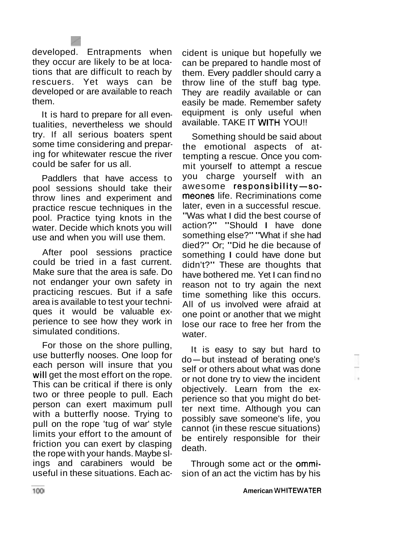developed. Entrapments when they occur are likely to be at locations that are difficult to reach by rescuers. Yet ways can be developed or are available to reach them.

It is hard to prepare for all eventualities, nevertheless we should try. If all serious boaters spent some time considering and preparing for whitewater rescue the river could be safer for us all.

Paddlers that have access to pool sessions should take their throw lines and experiment and practice rescue techniques in the pool. Practice tying knots in the water. Decide which knots you will use and when you will use them.

After pool sessions practice could be tried in a fast current. Make sure that the area is safe. Do not endanger your own safety in practicing rescues. But if a safe area is available to test your techniques it would be valuable experience to see how they work in simulated conditions.

For those on the shore pulling, use butterfly nooses. One loop for each person will insure that you will get the most effort on the rope. This can be critical if there is only two or three people to pull. Each person can exert maximum pull with a butterfly noose. Trying to pull on the rope 'tug of war' style limits your effort to the amount of friction you can exert by clasping the rope with your hands. Maybe slings and carabiners would be useful in these situations. Each accident is unique but hopefully we can be prepared to handle most of them. Every paddler should carry a throw line of the stuff bag type. They are readily available or can easily be made. Remember safety equipment is only useful when available. TAKE IT WITH YOU!!

Something should be said about the emotional aspects of attempting a rescue. Once you commit yourself to attempt a rescue you charge yourself with an awesome responsibility-someones life. Recriminations come later, even in a successful rescue. "Was what I did the best course of action?" "Should I have done something else?" "What if she had died?" Or; "Did he die because of something I could have done but didn't?" These are thoughts that have bothered me. Yet I can find no reason not to try again the next time something like this occurs. All of us involved were afraid at one point or another that we might lose our race to free her from the water.

It is easy to say but hard to do-but instead of berating one's self or others about what was done or not done try to view the incident objectively. Learn from the experience so that you might do better next time. Although you can possibly save someone's life, you cannot (in these rescue situations) be entirely responsible for their death.

Through some act or the ommision of an act the victim has by his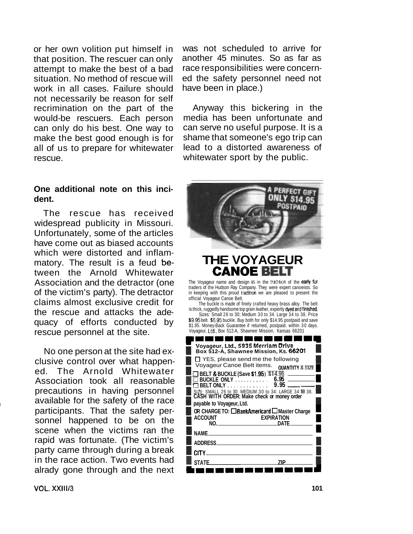or her own volition put himself in that position. The rescuer can only attempt to make the best of a bad situation. No method of rescue will work in all cases. Failure should not necessarily be reason for self recrimination on the part of the would-be rescuers. Each person can only do his best. One way to make the best good enough is for all of us to prepare for whitewater rescue.

#### **One additional note on this incident.**

The rescue has received widespread publicity in Missouri. Unfortunately, some of the articles have come out as biased accounts which were distorted and inflammatory. The result is a feud be-<br>tween the Arnold Whitewater **CANOE BELT** tween the Arnold Whitewater Association and the detractor (one of the victim's party). The detractor claims almost exclusive credit for the rescue and attacks the adequacy of efforts conducted by rescue personnel at the site.

No one person at the site had exclusive control over what happened. The Arnold Whitewater Association took all reasonable precautions in having personnel available for the safety of the race participants. That the safety personnel happened to be on the scene when the victims ran the rapid was fortunate. (The victim's party came through during a break in the race action. Two events had alrady gone through and the next

was not scheduled to arrive for another 45 minutes. So as far as race responsibilities were concerned the safety personnel need not have been in place.)

Anyway this bickering in the media has been unfortunate and can serve no useful purpose. It is a shame that someone's ego trip can lead to a distorted awareness of whitewater sport by the public.



The Voyageur name and design is in the tradition of the early **fur**  traders of the Hudson Ray Company. They were expert canoeists. So in keeping with this proud tradition we are pleased to present the official Voyageur Canoe Belt.

The buckle is made of finely crafted heavy brass alloy. The belt is thick, ruggedly handsome top grain leather, expertly dyed and finished. Sizes: Small 26 to 30; Medium 30 to 34. Large 34 to 38. Price

\$9.95 belt. \$6.95 buckle. Buy both for only \$14.95 postpaid and save \$1.95. Money-Back Guarantee if returned, postpaid. within 30 days. Voyageur, Ltd.. Box 512-A, Shawnee Mission. Kansas 66201

| \$1.95. Money-Back Guarantee if returned, postpaid. within 30 days.<br>Voyageur, Ltd., Box 512-A, Shawnee Mission. Kansas 66201 |
|---------------------------------------------------------------------------------------------------------------------------------|
|                                                                                                                                 |
| Voyageur, Ltd., 5935 Merriam Drive<br>Box 512-A, Shawnee Mission, Ks. 66201                                                     |
| $\Box$ YES, please send me the following<br>Voyageur Canoe Belt items.<br><b>OUANTITY &amp; SIZE</b>                            |
| <b>BELT &amp; BUCKLE (Save \$1.95). \$14.95</b>                                                                                 |
| BUCKLE ONLY<br>6.95                                                                                                             |
| 9.95<br><b>BELT ONLY</b><br>.                                                                                                   |
| SIZE: SMALL 26 to 30: MEDIUM 30 to 34: LARGE 34 I 38.<br>CASH WITH ORDER: Make check or money order                             |
| payable to Voyageur, Ltd.                                                                                                       |
| OR CHARGE TO: □ BankAmericard □ Master Charge                                                                                   |
| <b>ACCOUNT</b><br><b>EXPIRATION</b>                                                                                             |
| NO.<br>DATE                                                                                                                     |
| <b>NAME</b>                                                                                                                     |
| <b>ADDRESS</b>                                                                                                                  |
| CITY                                                                                                                            |
| <b>STATE</b><br>7IP                                                                                                             |
|                                                                                                                                 |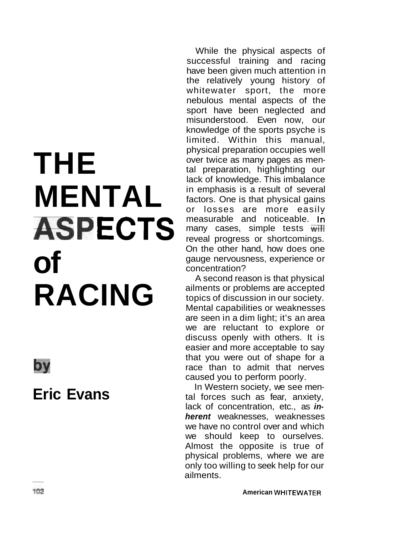# **MENTAL** in emphasis is a result of several<br>
or losses are more easily ASPECTS measurable and noticeable. In On the other hand, how does one<br>
gauge nervousness, experience or<br>
concentration? RACING ailments or problems are accepted<br>topics of discussion in our society.

 $\overline{\mathbf{b}}$ 

**Eric Evans** 

While the physical aspects of successful training and racing have been given much attention in the relatively young history of whitewater sport, the more nebulous mental aspects of the sport have been neglected and misunderstood. Even now, our knowledge of the sports psyche is limited. Within this manual, **THE PHYSICAL PROPERTIES IN THE PROPERTIES IN A PROPERTIES WELL PROPERTIES WELL PROPERTIES ON A PROPERTIES OF A PROPERTIES OF A PROPERTIES OF A PROPERTIES OF A PROPERTIES OF A PROPERTIES OF A PROPERTIES OF A PROPERTIES O** over twice as many pages as mental preparation, highlighting our lack of knowledge. This imbalance factors. One is that physical gains many cases, simple tests  $\overline{\text{with}}$ reveal progress or shortcomings. concentration?

> A second reason is that physical topics of discussion in our society. Mental capabilities or weaknesses are seen in a dim light; it's an area we are reluctant to explore or discuss openly with others. It is easier and more acceptable to say that you were out of shape for a race than to admit that nerves caused you to perform poorly.

> In Western society, we see mental forces such as fear, anxiety, lack of concentration, etc., as **inherent** weaknesses, weaknesses we have no control over and which we should keep to ourselves. Almost the opposite is true of physical problems, where we are only too willing to seek help for our ailments.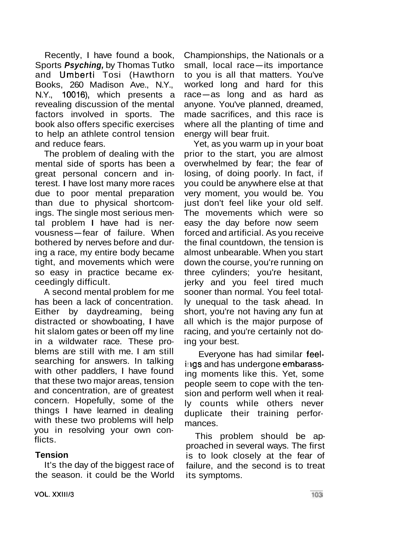Recently, I have found a book, Sports **Psyching,** by Thomas Tutko and Umberti Tosi (Hawthorn Books, 260 Madison Ave., N.Y., N.Y., 10016), which presents a revealing discussion of the mental factors involved in sports. The book also offers specific exercises to help an athlete control tension and reduce fears.

The problem of dealing with the mental side of sports has been a great personal concern and interest. I have lost many more races due to poor mental preparation than due to physical shortcomings. The single most serious men-Ings. The single most senous men-<br>tal problem I have had is ner-<br>vousness—fear of failure. When bothered by nerves before and during a race, my entire body became tight, and movements which were so easy in practice became exceedingly difficult.

A second mental problem for me has been a lack of concentration. Either by daydreaming, being distracted or showboating, I have hit slalom gates or been off my line in a wildwater race. These problems are still with me. I am still searching for answers. In talking with other paddlers, I have found that these two major areas, tension and concentration, are of greatest concern. Hopefully, some of the things I have learned in dealing with these two problems will help you in resolving your own conflicts.

### **Tension**

It's the day of the biggest race of the season. it could be the World Championships, the Nationals or a Championships, the Nationals or a<br>small, local race—its importance to you is all that matters. You've worked long and hard for this to you is all that matters. You've<br>worked long and hard for this<br>race—as long and as hard as anyone. You've planned, dreamed, made sacrifices, and this race is where all the planting of time and energy will bear fruit.

Yet, as you warm up in your boat prior to the start, you are almost overwhelmed by fear; the fear of losing, of doing poorly. In fact, if you could be anywhere else at that very moment, you would be. You just don't feel like your old self. The movements which were so easy the day before now seem forced and artificial. As you receive the final countdown, the tension is almost unbearable. When you start down the course, you're running on three cylinders; you're hesitant, jerky and you feel tired much sooner than normal. You feel totally unequal to the task ahead. In short, you're not having any fun at all which is the major purpose of racing, and you're certainly not doing your best.

Everyone has had similar feelings and has undergone embarassing moments like this. Yet, some people seem to cope with the tension and perform well when it really counts while others never duplicate their training performances.

This problem should be approached in several ways. The first is to look closely at the fear of failure, and the second is to treat its symptoms.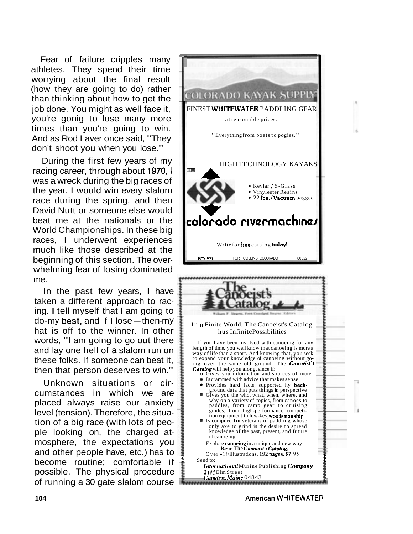Fear of failure cripples many athletes. They spend their time worrying about the final result (how they are going to do) rather than thinking about how to get the job done. You might as well face it, you're gonig to lose many more times than you're going to win. And as Rod Laver once said, "They don't shoot you when you lose."

During the first few years of my racing career, through about 1970, I was a wreck during the big races of the year. I would win every slalom race during the spring, and then David Nutt or someone else would beat me at the nationals or the World Championships. In these big races, I underwent experiences much like those described at the beginning of this section. The overwhelming fear of losing dominated me.

In the past few years, I have taken a different approach to racing. I tell myself that I am going to do-my best, and if  $I$  lose - then-my hat is off to the winner. In other words, "I am going to go out there and lay one hell of a slalom run on these folks. If someone can beat it, then that person deserves to win."

Unknown situations or circumstances in which we are placed always raise our anxiety level (tension). Therefore, the situation of a big race (with lots of people looking on, the charged atmosphere, the expectations you and other people have, etc.) has to become routine; comfortable if possible. The physical procedure of running a 30 gate slalom course



**104 American WHITEWATER**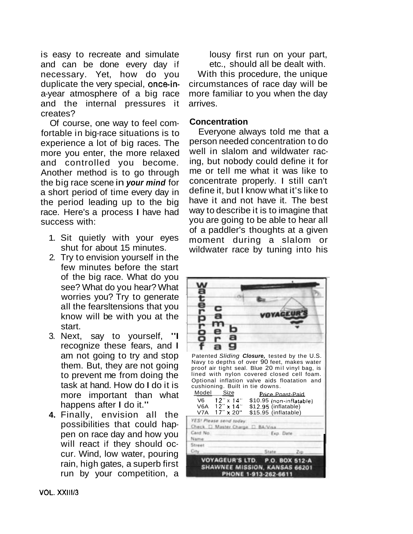is easy to recreate and simulate and can be done every day if necessary. Yet, how do you duplicate the very special, once-ina-year atmosphere of a big race and the internal pressures it creates?

Of course, one way to feel comfortable in big-race situations is to experience a lot of big races. The more you enter, the more relaxed and controlled you become. Another method is to go through the big race scene in **your mind** for a short period of time every day in the period leading up to the big race. Here's a process I have had success with:

- 1. Sit quietly with your eyes shut for about 15 minutes.
- 2. Try to envision yourself in the few minutes before the start of the big race. What do you see? What do you hear? What worries you? Try to generate all the fearsltensions that you know will be with you at the start.
- 3. Next, say to yourself, "I recognize these fears, and I am not going to try and stop them. But, they are not going to prevent me from doing the task at hand. How do I do it is more important than what happens after I do it."
- **4.** Finally, envision all the possibilities that could happen on race day and how you will react if they should occur. Wind, low water, pouring rain, high gates, a superb first run by your competition, a

lousy first run on your part, etc., should all be dealt with.

With this procedure, the unique circumstances of race day will be more familiar to you when the day arrives.

### **Concentration**

Everyone always told me that a person needed concentration to do well in slalom and wildwater racing, but nobody could define it for me or tell me what it was like to concentrate properly. I still can't define it, but I know what it's like to have it and not have it. The best way to describe it is to imagine that you are going to be able to hear all of a paddler's thoughts at a given moment during a slalom or wildwater race by tuning into his

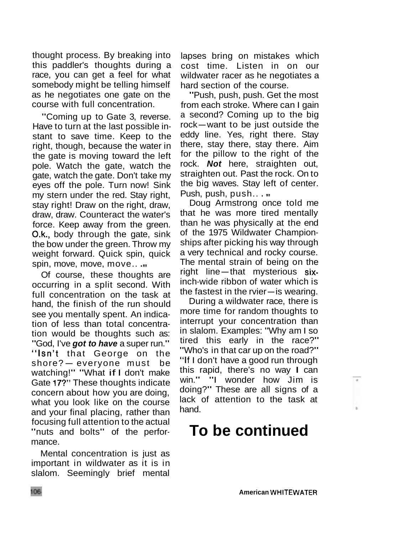thought process. By breaking into this paddler's thoughts during a race, you can get a feel for what somebody might be telling himself as he negotiates one gate on the course with full concentration.

"Coming up to Gate 3, reverse. Have to turn at the last possible instant to save time. Keep to the right, though, because the water in the gate is moving toward the left pole. Watch the gate, watch the gate, watch the gate. Don't take my eyes off the pole. Turn now! Sink my stern under the red. Stay right, stay right! Draw on the right, draw, draw, draw. Counteract the water's force. Keep away from the green. O.k., body through the gate, sink the bow under the green. Throw my weight forward. Quick spin, quick spin, move, move, move.. .

Of course, these thoughts are occurring in a split second. With full concentration on the task at hand, the finish of the run should see you mentally spent. An indication of less than total concentration would be thoughts such as: "God, I've **got to have** a super run." "Isn't that George on the shore? - everyone must be watching!" "What if I don't make Gate 17?" These thoughts indicate concern about how you are doing, what you look like on the course and your final placing, rather than focusing full attention to the actual "nuts and bolts" of the performance.

Mental concentration is just as important in wildwater as it is in slalom. Seemingly brief mental lapses bring on mistakes which cost time. Listen in on our wildwater racer as he negotiates a hard section of the course.

"Push, push, push. Get the most from each stroke. Where can I gain a second? Coming up to the big rrom each stroke, where can rigam<br>a second? Coming up to the big<br>rock—want to be just outside the eddy line. Yes, right there. Stay there, stay there, stay there. Aim for the pillow to the right of the rock. **Not** here, straighten out, straighten out. Past the rock. On to the big waves. Stay left of center. Push, push, push...

Doug Armstrong once told me that he was more tired mentally than he was physically at the end of the 1975 Wildwater Championships after picking his way through a very technical and rocky course. The mental strain of being on the right line-that mysterious sixinch-wide ribbon of water which is the fastest in the rvier- is wearing.

During a wildwater race, there is more time for random thoughts to interrupt your concentration than in slalom. Examples: "Why am I so tired this early in the race?" "Who's in that car up on the road?" "If I don't have a good run through this rapid, there's no way I can win." "I wonder how Jim is doing?" These are all signs of a lack of attention to the task at hand.

### **To be continued**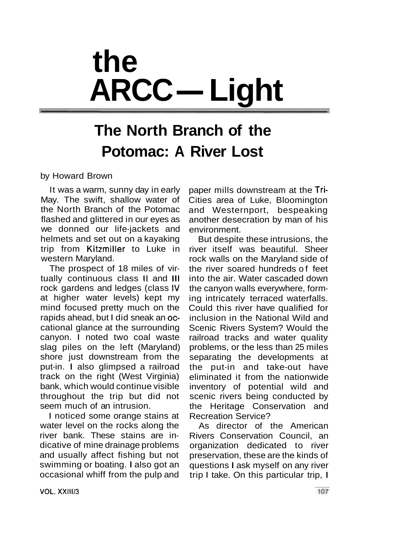## **the ARCC- Light**

### **The North Branch of the Potomac: A River Lost**

by Howard Brown

It was a warm, sunny day in early May. The swift, shallow water of the North Branch of the Potomac flashed and glittered in our eyes as we donned our life-jackets and helmets and set out on a kayaking trip from Kitzmiller to Luke in western Maryland.

The prospect of 18 miles of virtually continuous class II and Ill rock gardens and ledges (class IV at higher water levels) kept my mind focused pretty much on the rapids ahead, but I did sneak an occational glance at the surrounding canyon. I noted two coal waste slag piles on the left (Maryland) shore just downstream from the put-in. I also glimpsed a railroad track on the right (West Virginia) bank, which would continue visible throughout the trip but did not seem much of an intrusion.

I noticed some orange stains at water level on the rocks along the river bank. These stains are indicative of mine drainage problems and usually affect fishing but not swimming or boating. I also got an occasional whiff from the pulp and

paper mills downstream at the Tri-Cities area of Luke, Bloomington and Westernport, bespeaking another desecration by man of his environment.

But despite these intrusions, the river itself was beautiful. Sheer rock walls on the Maryland side of the river soared hundreds of feet into the air. Water cascaded down the canyon walls everywhere, forming intricately terraced waterfalls. Could this river have qualified for inclusion in the National Wild and Scenic Rivers System? Would the railroad tracks and water quality problems, or the less than 25 miles separating the developments at the put-in and take-out have eliminated it from the nationwide inventory of potential wild and scenic rivers being conducted by the Heritage Conservation and Recreation Service?

As director of the American Rivers Conservation Council, an organization dedicated to river preservation, these are the kinds of questions I ask myself on any river trip I take. On this particular trip, I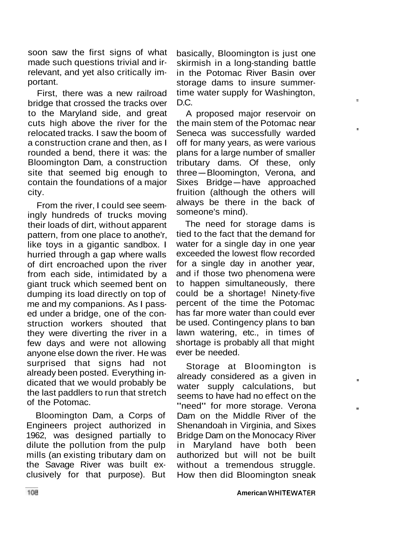soon saw the first signs of what made such questions trivial and irrelevant, and yet also critically important.

First, there was a new railroad bridge that crossed the tracks over to the Maryland side, and great cuts high above the river for the relocated tracks. I saw the boom of a construction crane and then, as I rounded a bend, there it was: the Bloomington Dam, a construction site that seemed big enough to contain the foundations of a major city.

From the river, I could see seemingly hundreds of trucks moving their loads of dirt, without apparent pattern, from one place to anothe'r, like toys in a gigantic sandbox. I hurried through a gap where walls of dirt encroached upon the river from each side, intimidated by a giant truck which seemed bent on dumping its load directly on top of me and my companions. As I passed under a bridge, one of the construction workers shouted that they were diverting the river in a few days and were not allowing anyone else down the river. He was surprised that signs had not already been posted. Everything indicated that we would probably be the last paddlers to run that stretch of the Potomac.

Bloomington Dam, a Corps of Engineers project authorized in 1962, was designed partially to dilute the pollution from the pulp mills (an existing tributary dam on the Savage River was built exclusively for that purpose). But

basically, Bloomington is just one skirmish in a long-standing battle in the Potomac River Basin over storage dams to insure summertime water supply for Washington, D.C.

A proposed major reservoir on the main stem of the Potomac near Seneca was successfully warded off for many years, as were various plans for a large number of smaller tributary dams. Of these, only plans for a large number of smaller<br>tributary dams. Of these, only<br>three—Bloomington, Verona, and mbutary dams. Or these, only<br>three—Bloomington, Verona, and<br>Sixes Bridge—have approached fruition (although the others will always be there in the back of someone's mind).

The need for storage dams is tied to the fact that the demand for water for a single day in one year exceeded the lowest flow recorded for a single day in another year, and if those two phenomena were to happen simultaneously, there could be a shortage! Ninety-five percent of the time the Potomac has far more water than could ever be used. Contingency plans to ban lawn watering, etc., in times of shortage is probably all that might ever be needed.

Storage at Bloomington is already considered as a given in water supply calculations, but seems to have had no effect on the "need" for more storage. Verona Dam on the Middle River of the Shenandoah in Virginia, and Sixes Bridge Dam on the Monocacy River in Maryland have both been authorized but will not be built without a tremendous struggle. How then did Bloomington sneak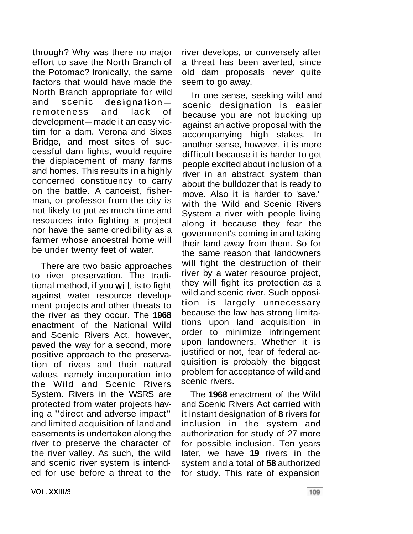through? Why was there no major effort to save the North Branch of the Potomac? Ironically, the same factors that would have made the North Branch appropriate for wild and scenic designationremoteness and lack of development-made it an easy victim for a dam. Verona and Sixes Bridge, and most sites of successful dam fights, would require the displacement of many farms and homes. This results in a highly concerned constituency to carry on the battle. A canoeist, fisherman, or professor from the city is not likely to put as much time and resources into fighting a project nor have the same credibility as a farmer whose ancestral home will be under twenty feet of water.

There are two basic approaches to river preservation. The traditional method, if you will, is to fight against water resource development projects and other threats to the river as they occur. The **1968**  enactment of the National Wild and Scenic Rivers Act, however, paved the way for a second, more positive approach to the preservation of rivers and their natural values, namely incorporation into the Wild and Scenic Rivers System. Rivers in the WSRS are protected from water projects having a "direct and adverse impact" and limited acquisition of land and easements is undertaken along the river to preserve the character of the river valley. As such, the wild and scenic river system is intended for use before a threat to the

river develops, or conversely after a threat has been averted, since old dam proposals never quite seem to go away.

In one sense, seeking wild and scenic designation is easier because you are not bucking up against an active proposal with the accompanying high stakes. In another sense, however, it is more difficult because it is harder to get people excited about inclusion of a river in an abstract system than about the bulldozer that is ready to move. Also it is harder to 'save,' with the Wild and Scenic Rivers System a river with people living along it because they fear the government's coming in and taking their land away from them. So for the same reason that landowners will fight the destruction of their river by a water resource project, they will fight its protection as a wild and scenic river. Such opposition is largely unnecessary because the law has strong limitations upon land acquisition in order to minimize infringement upon landowners. Whether it is justified or not, fear of federal acquisition is probably the biggest problem for acceptance of wild and scenic rivers.

The **1968** enactment of the Wild and Scenic Rivers Act carried with it instant designation of **8** rivers for inclusion in the system and authorization for study of 27 more for possible inclusion. Ten years later, we have **19** rivers in the system and a total of **58** authorized for study. This rate of expansion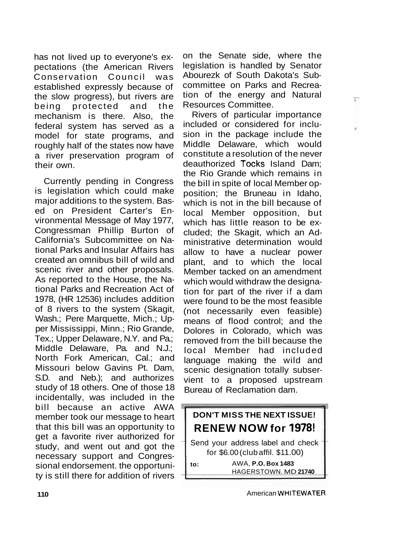has not lived up to everyone's expectations (the American Rivers Conservation Council was established expressly because of the slow progress), but rivers are being protected and the mechanism is there. Also, the federal system has served as a model for state programs, and roughly half of the states now have a river preservation program of their own.

Currently pending in Congress is legislation which could make major additions to the system. Based on President Carter's Environmental Message of May 1977, Congressman Phillip Burton of California's Subcommittee on National Parks and Insular Affairs has created an omnibus bill of wild and scenic river and other proposals. As reported to the House, the National Parks and Recreation Act of 1978, (HR 12536) includes addition of 8 rivers to the system (Skagit, Wash.; Pere Marquette, Mich.; Upper Mississippi, Minn.; Rio Grande, Tex.; Upper Delaware, N.Y. and Pa.; Middle Delaware, Pa. and N.J.; North Fork American, Cal.; and Missouri below Gavins Pt. Dam, S.D. and Neb.); and authorizes study of 18 others. One of those 18 incidentally, was included in the bill because an active AWA member took our message to heart that this bill was an opportunity to get a favorite river authorized for study, and went out and got the necessary support and Congressional endorsement. the opportunity is still there for addition of rivers

on the Senate side, where the legislation is handled by Senator Abourezk of South Dakota's Subcommittee on Parks and Recreation of the energy and Natural Resources Committee.

 $\mathbf{r}$ 

Rivers of particular importance included or considered for inclusion in the package include the Middle Delaware, which would constitute a resolution of the never deauthorized Tocks Island Dam; the Rio Grande which remains in the bill in spite of local Member opposition; the Bruneau in Idaho, which is not in the bill because of local Member opposition, but which has little reason to be excluded; the Skagit, which an Administrative determination would allow to have a nuclear power plant, and to which the local Member tacked on an amendment which would withdraw the designation for part of the river if a dam were found to be the most feasible (not necessarily even feasible) means of flood control; and the Dolores in Colorado, which was removed from the bill because the local Member had included language making the wild and scenic designation totally subservient to a proposed upstream Bureau of Reclamation dam.

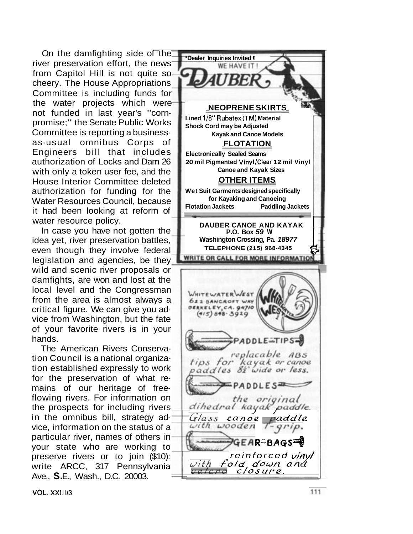On the damfighting side of the river preservation effort, the news from Capitol Hill is not quite so cheery. The House Appropriations Committee is including funds for the water projects which were not funded in last year's "cornpromise;" the Senate Public Works Committee is reporting a businessas-usual omnibus Corps of Engineers bill that includes authorization of Locks and Dam 26 with only a token user fee, and the House Interior Committee deleted authorization for funding for the Water Resources Council, because it had been looking at reform of water resource policy.

In case you have not gotten the idea yet, river preservation battles, even though they involve federal legislation and agencies, be they wild and scenic river proposals or damfights, are won and lost at the local level and the Congressman from the area is almost always a critical figure. We can give you advice from Washington, but the fate of your favorite rivers is in your hands.

The American Rivers Conservation Council is a national organization established expressly to work for the preservation of what remains of our heritage of freeflowing rivers. For information on the prospects for including rivers in the omnibus bill, strategy advice, information on the status of a particular river, names of others in your state who are working to preserve rivers or to join (\$10): write ARCC, 317 Pennsylvania Ave., **S.** E., Wash., D.C. 20003.

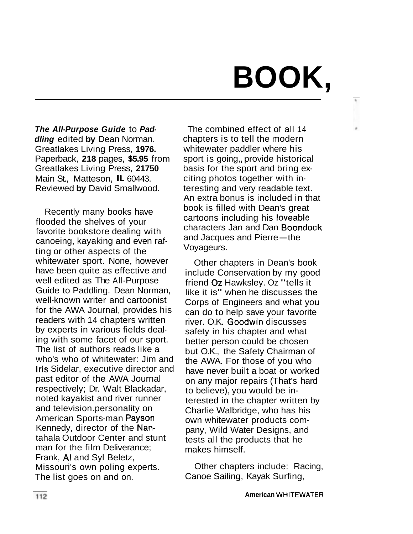# **BOOK,**

t.

**The All-Purpose Guide** to **Paddling** edited **by** Dean Norman. Greatlakes Living Press, **1976.**  Paperback, **218** pages, **\$5.95** from Greatlakes Living Press, **21750**  Main St., Matteson, IL 60443. Reviewed **by** David Smallwood.

Recently many books have flooded the shelves of your favorite bookstore dealing with canoeing, kayaking and even rafting or other aspects of the whitewater sport. None, however have been quite as effective and well edited as The All-Purpose Guide to Paddling. Dean Norman, well-known writer and cartoonist for the AWA Journal, provides his readers with 14 chapters written by experts in various fields dealing with some facet of our sport. The list of authors reads like a who's who of whitewater: Jim and Iris Sidelar, executive director and past editor of the AWA Journal respectively; Dr. Walt Blackadar, noted kayakist and river runner and television. personality on American Sports-man Payson Kennedy, director of the Nantahala Outdoor Center and stunt man for the film Deliverance; Frank, A1 and Syl Beletz, Missouri's own poling experts. The list goes on and on.

The combined effect of all 14 chapters is to tell the modern whitewater paddler where his sport is going,, provide historical basis for the sport and bring exciting photos together with interesting and very readable text. An extra bonus is included in that book is filled with Dean's great cartoons including his loveable characters Jan and Dan Boondock and Jacques and Pierre-the Voyageurs.

Other chapters in Dean's book include Conservation by my good friend Oz Hawksley. Oz "tells it like it is" when he discusses the Corps of Engineers and what you can do to help save your favorite river. O.K. Goodwin discusses safety in his chapter and what better person could be chosen but O.K., the Safety Chairman of the AWA. For those of you who have never built a boat or worked on any major repairs (That's hard to believe), you would be interested in the chapter written by Charlie Walbridge, who has his own whitewater products company, Wild Water Designs, and tests all the products that he makes himself.

Other chapters include: Racing, Canoe Sailing, Kayak Surfing,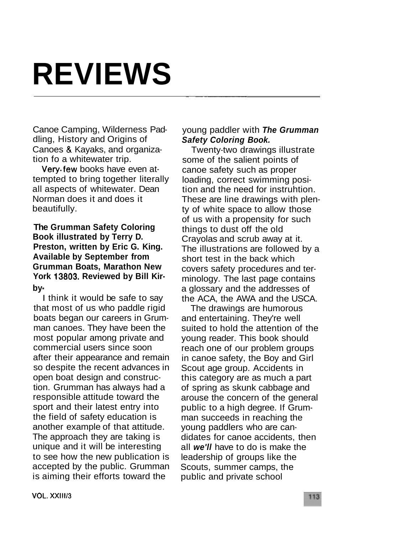# **REVIEWS**

Canoe Camping, Wilderness Paddling, History and Origins of Canoes & Kayaks, and organization fo a whitewater trip.

Very.few books have even attempted to bring together literally all aspects of whitewater. Dean Norman does it and does it beautifully.

**The Grumman Safety Coloring Book illustrated by Terry D. Preston, written by Eric G. King. Available by September from Grumman Boats, Marathon New York 13803. Reviewed by Bill Kirby** -

I think it would be safe to say that most of us who paddle rigid boats began our careers in Grumman canoes. They have been the most popular among private and commercial users since soon after their appearance and remain so despite the recent advances in open boat design and construction. Grumman has always had a responsible attitude toward the sport and their latest entry into the field of safety education is another example of that attitude. The approach they are taking is unique and it will be interesting to see how the new publication is accepted by the public. Grumman is aiming their efforts toward the

### young paddler with **The Grumman Safety Coloring Book.**

- -- -

Twenty-two drawings illustrate some of the salient points of canoe safety such as proper loading, correct swimming position and the need for instruhtion. These are line drawings with plenty of white space to allow those of us with a propensity for such things to dust off the old Crayolas and scrub away at it. The illustrations are followed by a short test in the back which covers safety procedures and terminology. The last page contains a glossary and the addresses of the ACA, the AWA and the USCA.

The drawings are humorous and entertaining. They're well suited to hold the attention of the young reader. This book should reach one of our problem groups in canoe safety, the Boy and Girl Scout age group. Accidents in this category are as much a part of spring as skunk cabbage and arouse the concern of the general public to a high degree. If Grumman succeeds in reaching the young paddlers who are candidates for canoe accidents, then all **we'll** have to do is make the leadership of groups like the Scouts, summer camps, the public and private school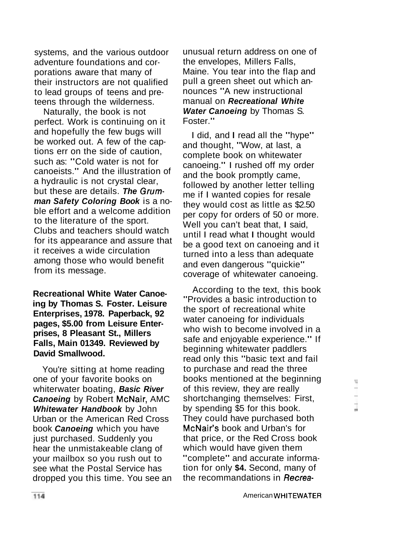systems, and the various outdoor adventure foundations and corporations aware that many of their instructors are not qualified to lead groups of teens and preteens through the wilderness.

Naturally, the book is not perfect. Work is continuing on it and hopefully the few bugs will be worked out. A few of the captions err on the side of caution, such as: "Cold water is not for canoeists." And the illustration of a hydraulic is not crystal clear, but these are details. **The Grumman Safety Coloring Book** is a noble effort and a welcome addition to the literature of the sport. Clubs and teachers should watch for its appearance and assure that it receives a wide circulation among those who would benefit from its message.

**Recreational White Water Canoeing by Thomas S. Foster. Leisure Enterprises, 1978. Paperback, 92 pages, \$5.00 from Leisure Enterprises, 8 Pleasant St., Millers Falls, Main 01349. Reviewed by David Smallwood.** 

You're sitting at home reading one of your favorite books on whiterwater boating, **Basic River Canoeing** by Robert McNair, AMC **Whitewa ter Handbook** by John Urban or the American Red Cross book **Canoeing** which you have just purchased. Suddenly you hear the unmistakeable clang of your mailbox so you rush out to see what the Postal Service has dropped you this time. You see an unusual return address on one of the envelopes, Millers Falls, Maine. You tear into the flap and pull a green sheet out which announces "A new instructional manual on **Recreational White Water Canoeing** by Thomas S. Foster."

I did, and I read all the "hype" and thought, "Wow, at last, a complete book on whitewater canoeing." I rushed off my order and the book promptly came, followed by another letter telling me if I wanted copies for resale they would cost as little as \$2.50 per copy for orders of 50 or more. Well you can't beat that, I said, until I read what I thought would be a good text on canoeing and it turned into a less than adequate and even dangerous "quickie" coverage of whitewater canoeing.

According to the text, this book "Provides a basic introduction to the sport of recreational white water canoeing for individuals who wish to become involved in a safe and enjoyable experience." If beginning whitewater paddlers read only this "basic text and fail to purchase and read the three books mentioned at the beginning of this review, they are really shortchanging themselves: First, by spending \$5 for this book. They could have purchased both McNair's book and Urban's for that price, or the Red Cross book which would have given them "complete" and accurate information for only **\$4.** Second, many of the recommandations in **Recrea-**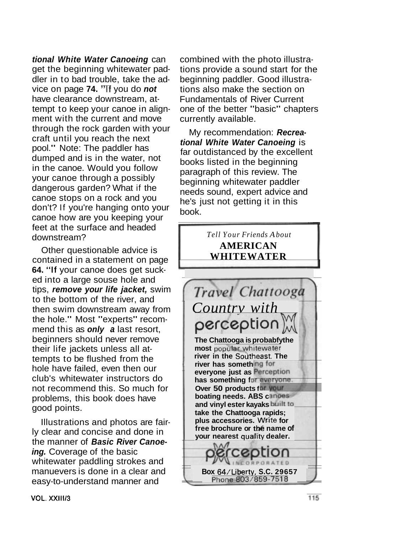**tional White Water Canoeing** can get the beginning whitewater paddler in to bad trouble, take the advice on page **74.** "If you do **not**  have clearance downstream, attempt to keep your canoe in alignment with the current and move through the rock garden with your craft until you reach the next pool." Note: The paddler has dumped and is in the water, not in the canoe. Would you follow your canoe through a possibly dangerous garden? What if the canoe stops on a rock and you don't? If you're hanging onto your canoe how are you keeping your feet at the surface and headed downstream?

Other questionable advice is contained in a statement on page **64.** "If your canoe does get sucked into a large souse hole and tips, **remove your life jacket,** swim to the bottom of the river, and then swim downstream away from the hole." Most "experts" recommend this as **only a** last resort, beginners should never remove their life jackets unless all attempts to be flushed from the hole have failed, even then our club's whitewater instructors do not recommend this. So much for problems, this book does have good points.

Illustrations and photos are fairly clear and concise and done in the manner of **Basic River Canoeing.** Coverage of the basic whitewater paddling strokes and manuevers is done in a clear and easy-to-understand manner and

combined with the photo illustrations provide a sound start for the beginning paddler. Good illustrations also make the section on Fundamentals of River Current one of the better "basic" chapters currently available.

My recommendation: **Recreational White Water Canoeing** is far outdistanced by the excellent books listed in the beginning paragraph of this review. The beginning whitewater paddler needs sound, expert advice and he's just not getting it in this book.